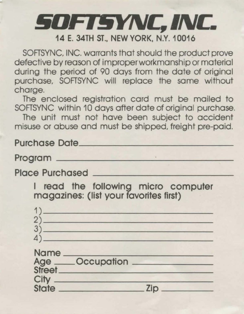## **§OFT§YNC, INC. 14 E. 34TH ST., NEW YORK, N.Y.10016**

SOFTSYNC, INC. warrants that should the product prove defective by reason of improper workmanship or material during the period of 90 days from the date of original purchase, SOFTSYNC will replace the same without charge.

The enclosed registration card must be mailed to SOFTSYNC within 10 days after date of original purchase.

The unit must not have been subject to accident misuse or abuse and must be shipped, freight pre-paid.

**Purchase Date \_\_\_\_\_\_\_\_\_\_\_\_\_ \_ Program** \_\_\_\_\_\_\_\_\_\_\_\_\_\_\_ \_ Place Purchased

I **read the following micro computer magazines: (list your favorites first)**  1) \_\_\_\_\_\_\_\_\_\_\_\_\_\_ \_

| 1            |                                      |     |  |
|--------------|--------------------------------------|-----|--|
| 2            |                                      |     |  |
| 3            |                                      |     |  |
|              |                                      |     |  |
| Name         | <b>Albert Brown and Street</b>       |     |  |
|              |                                      |     |  |
|              |                                      |     |  |
| City         | متهبه وتسامل وتهويت أوالمسافرة وأمرح |     |  |
| <b>State</b> |                                      | Zip |  |